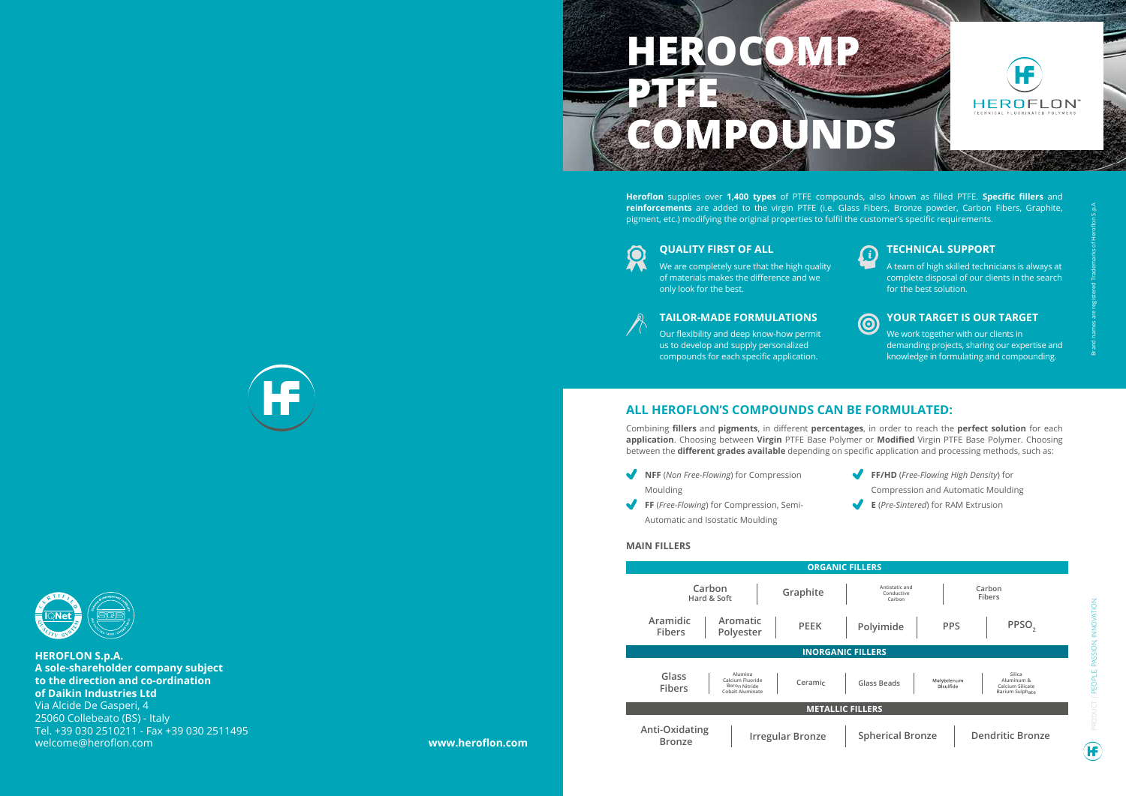PRODUCT | PEOPLE, PASSION, INNOVATION.



**Heroflon** supplies over **1,400 types** of PTFE compounds, also known as filled PTFE. **Specific fillers** and **reinforcements** are added to the virgin PTFE (i.e. Glass Fibers, Bronze powder, Carbon Fibers, Graphite, pigment, etc.) modifying the original properties to fulfil the customer's specific requirements.



## **QUALITY FIRST OF ALL CONSUMING A TECHNICAL SUPPORT**

### **MAIN FILLERS**

Æ

We are completely sure that the high quality of materials makes the difference and we only look for the best.



Combining **fillers** and **pigments**, in different **percentages**, in order to reach the **perfect solution** for each **application**. Choosing between **Virgin** PTFE Base Polymer or **Modified** Virgin PTFE Base Polymer. Choosing between the **different grades available** depending on specific application and processing methods, such as:

### **ALL HEROFLON'S COMPOUNDS CAN BE FORMULATED:**

We work together with our clients in demanding projects, sharing our expertise and knowledge in formulating and compounding.

**NFF** (*Non Free-Flowing*) for Compression

Moulding

**FF** (*Free-Flowing*) for Compression, Semi-Automatic and Isostatic Moulding

**FF/HD** (*Free-Flowing High Density*) for Compression and Automatic Moulding **E** (*Pre-Sintered*) for RAM Extrusion

A team of high skilled technicians is always at complete disposal of our clients in the search for the best solution.



## **TAILOR-MADE FORMULATIONS YOUR TARGET IS OUR TARGET**

Our flexibility and deep know-how permit us to develop and supply personalized compounds for each specific application.

**HEROFLON S.p.A. A sole-shareholder company subject to the direction and co-ordination of Daikin Industries Ltd** Via Alcide De Gasperi, 4 25060 Collebeato (BS) - Italy Tel. +39 030 2510211 - Fax +39 030 2511495 welcome@heroflon.com **www.heroflon.com**